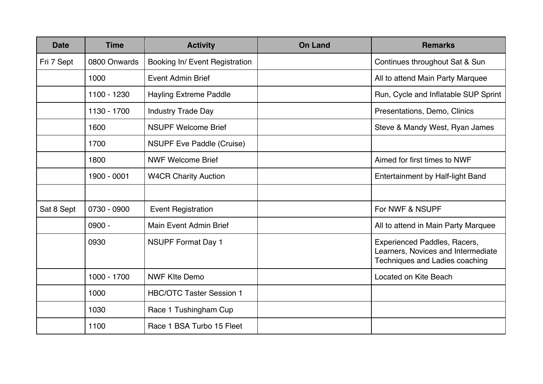| <b>Date</b> | <b>Time</b>  | <b>Activity</b>                  | <b>On Land</b> | <b>Remarks</b>                                                                                       |
|-------------|--------------|----------------------------------|----------------|------------------------------------------------------------------------------------------------------|
| Fri 7 Sept  | 0800 Onwards | Booking In/ Event Registration   |                | Continues throughout Sat & Sun                                                                       |
|             | 1000         | <b>Event Admin Brief</b>         |                | All to attend Main Party Marquee                                                                     |
|             | 1100 - 1230  | <b>Hayling Extreme Paddle</b>    |                | Run, Cycle and Inflatable SUP Sprint                                                                 |
|             | 1130 - 1700  | <b>Industry Trade Day</b>        |                | Presentations, Demo, Clinics                                                                         |
|             | 1600         | <b>NSUPF Welcome Brief</b>       |                | Steve & Mandy West, Ryan James                                                                       |
|             | 1700         | <b>NSUPF Eve Paddle (Cruise)</b> |                |                                                                                                      |
|             | 1800         | <b>NWF Welcome Brief</b>         |                | Aimed for first times to NWF                                                                         |
|             | 1900 - 0001  | <b>W4CR Charity Auction</b>      |                | Entertainment by Half-light Band                                                                     |
|             |              |                                  |                |                                                                                                      |
| Sat 8 Sept  | 0730 - 0900  | <b>Event Registration</b>        |                | For NWF & NSUPF                                                                                      |
|             | $0900 -$     | <b>Main Event Admin Brief</b>    |                | All to attend in Main Party Marquee                                                                  |
|             | 0930         | <b>NSUPF Format Day 1</b>        |                | Experienced Paddles, Racers,<br>Learners, Novices and Intermediate<br>Techniques and Ladies coaching |
|             | 1000 - 1700  | <b>NWF KIte Demo</b>             |                | Located on Kite Beach                                                                                |
|             | 1000         | <b>HBC/OTC Taster Session 1</b>  |                |                                                                                                      |
|             | 1030         | Race 1 Tushingham Cup            |                |                                                                                                      |
|             | 1100         | Race 1 BSA Turbo 15 Fleet        |                |                                                                                                      |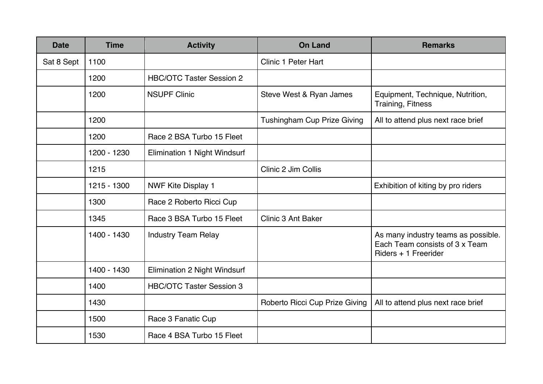| <b>Date</b> | <b>Time</b> | <b>Activity</b>                 | <b>On Land</b>                     | <b>Remarks</b>                                                                                |
|-------------|-------------|---------------------------------|------------------------------------|-----------------------------------------------------------------------------------------------|
| Sat 8 Sept  | 1100        |                                 | <b>Clinic 1 Peter Hart</b>         |                                                                                               |
|             | 1200        | <b>HBC/OTC Taster Session 2</b> |                                    |                                                                                               |
|             | 1200        | <b>NSUPF Clinic</b>             | Steve West & Ryan James            | Equipment, Technique, Nutrition,<br><b>Training, Fitness</b>                                  |
|             | 1200        |                                 | <b>Tushingham Cup Prize Giving</b> | All to attend plus next race brief                                                            |
|             | 1200        | Race 2 BSA Turbo 15 Fleet       |                                    |                                                                                               |
|             | 1200 - 1230 | Elimination 1 Night Windsurf    |                                    |                                                                                               |
|             | 1215        |                                 | Clinic 2 Jim Collis                |                                                                                               |
|             | 1215 - 1300 | <b>NWF Kite Display 1</b>       |                                    | Exhibition of kiting by pro riders                                                            |
|             | 1300        | Race 2 Roberto Ricci Cup        |                                    |                                                                                               |
|             | 1345        | Race 3 BSA Turbo 15 Fleet       | <b>Clinic 3 Ant Baker</b>          |                                                                                               |
|             | 1400 - 1430 | <b>Industry Team Relay</b>      |                                    | As many industry teams as possible.<br>Each Team consists of 3 x Team<br>Riders + 1 Freerider |
|             | 1400 - 1430 | Elimination 2 Night Windsurf    |                                    |                                                                                               |
|             | 1400        | <b>HBC/OTC Taster Session 3</b> |                                    |                                                                                               |
|             | 1430        |                                 | Roberto Ricci Cup Prize Giving     | All to attend plus next race brief                                                            |
|             | 1500        | Race 3 Fanatic Cup              |                                    |                                                                                               |
|             | 1530        | Race 4 BSA Turbo 15 Fleet       |                                    |                                                                                               |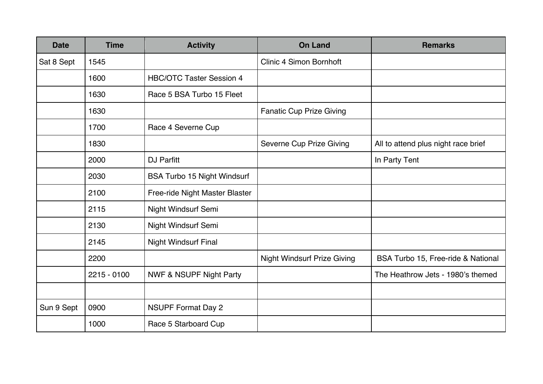| <b>Date</b> | <b>Time</b>   | <b>Activity</b>                    | <b>On Land</b>                     | <b>Remarks</b>                      |
|-------------|---------------|------------------------------------|------------------------------------|-------------------------------------|
| Sat 8 Sept  | 1545          |                                    | <b>Clinic 4 Simon Bornhoft</b>     |                                     |
|             | 1600          | <b>HBC/OTC Taster Session 4</b>    |                                    |                                     |
|             | 1630          | Race 5 BSA Turbo 15 Fleet          |                                    |                                     |
|             | 1630          |                                    | <b>Fanatic Cup Prize Giving</b>    |                                     |
|             | 1700          | Race 4 Severne Cup                 |                                    |                                     |
|             | 1830          |                                    | Severne Cup Prize Giving           | All to attend plus night race brief |
|             | 2000          | DJ Parfitt                         |                                    | In Party Tent                       |
|             | 2030          | <b>BSA Turbo 15 Night Windsurf</b> |                                    |                                     |
|             | 2100          | Free-ride Night Master Blaster     |                                    |                                     |
|             | 2115          | Night Windsurf Semi                |                                    |                                     |
|             | 2130          | Night Windsurf Semi                |                                    |                                     |
|             | 2145          | <b>Night Windsurf Final</b>        |                                    |                                     |
|             | 2200          |                                    | <b>Night Windsurf Prize Giving</b> | BSA Turbo 15, Free-ride & National  |
|             | $2215 - 0100$ | <b>NWF &amp; NSUPF Night Party</b> |                                    | The Heathrow Jets - 1980's themed   |
|             |               |                                    |                                    |                                     |
| Sun 9 Sept  | 0900          | <b>NSUPF Format Day 2</b>          |                                    |                                     |
|             | 1000          | Race 5 Starboard Cup               |                                    |                                     |